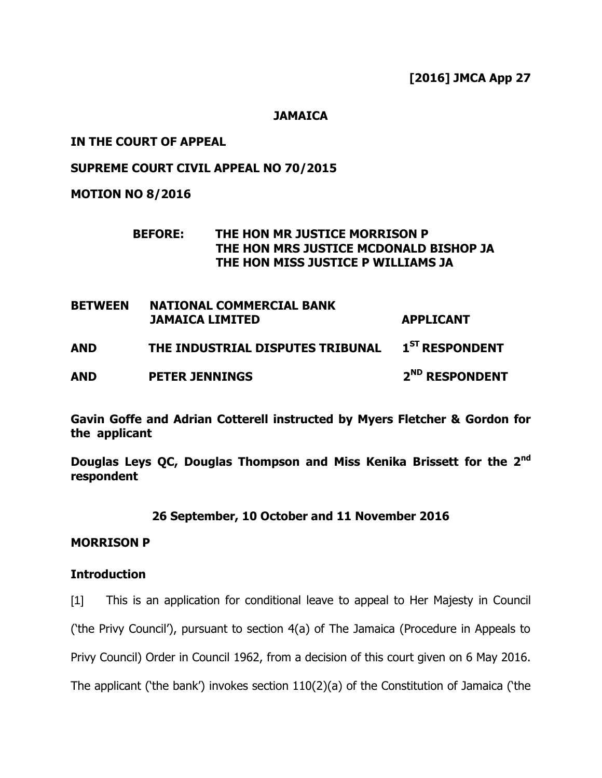**[2016] JMCA App 27**

**JAMAICA**

# **IN THE COURT OF APPEAL**

# **SUPREME COURT CIVIL APPEAL NO 70/2015**

**MOTION NO 8/2016**

# **BEFORE: THE HON MR JUSTICE MORRISON P THE HON MRS JUSTICE MCDONALD BISHOP JA THE HON MISS JUSTICE P WILLIAMS JA**

| <b>BETWEEN</b> | <b>NATIONAL COMMERCIAL BANK</b><br><b>JAMAICA LIMITED</b> | <b>APPLICANT</b>           |
|----------------|-----------------------------------------------------------|----------------------------|
| <b>AND</b>     | THE INDUSTRIAL DISPUTES TRIBUNAL                          | $1ST$ RESPONDENT           |
| <b>AND</b>     | <b>PETER JENNINGS</b>                                     | 2 <sup>ND</sup> RESPONDENT |

**Gavin Goffe and Adrian Cotterell instructed by Myers Fletcher & Gordon for the applicant**

**Douglas Leys QC, Douglas Thompson and Miss Kenika Brissett for the 2nd respondent**

# **26 September, 10 October and 11 November 2016**

# **MORRISON P**

# **Introduction**

[1] This is an application for conditional leave to appeal to Her Majesty in Council ("the Privy Council"), pursuant to section 4(a) of The Jamaica (Procedure in Appeals to Privy Council) Order in Council 1962, from a decision of this court given on 6 May 2016. The applicant ('the bank') invokes section  $110(2)(a)$  of the Constitution of Jamaica ('the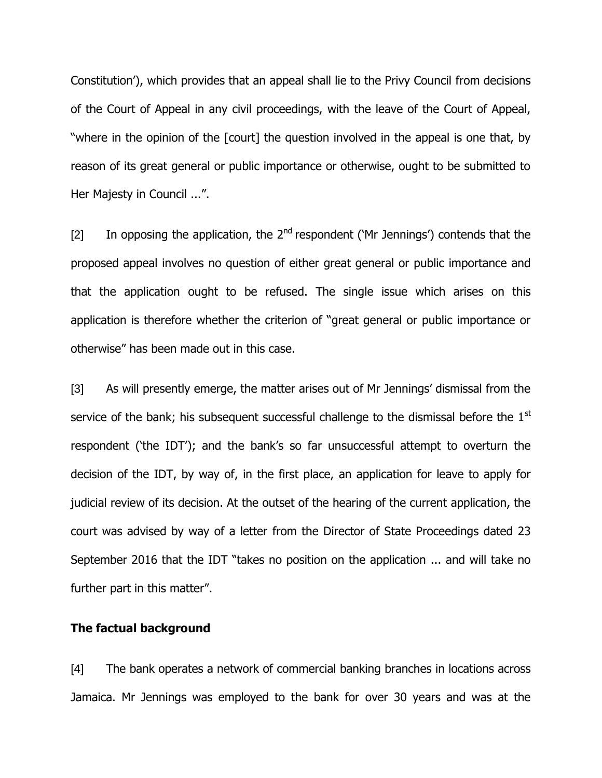Constitution"), which provides that an appeal shall lie to the Privy Council from decisions of the Court of Appeal in any civil proceedings, with the leave of the Court of Appeal, "where in the opinion of the [court] the question involved in the appeal is one that, by reason of its great general or public importance or otherwise, ought to be submitted to Her Majesty in Council ...".

[2] In opposing the application, the  $2^{nd}$  respondent ('Mr Jennings') contends that the proposed appeal involves no question of either great general or public importance and that the application ought to be refused. The single issue which arises on this application is therefore whether the criterion of "great general or public importance or otherwise" has been made out in this case.

[3] As will presently emerge, the matter arises out of Mr Jennings" dismissal from the service of the bank; his subsequent successful challenge to the dismissal before the 1<sup>st</sup> respondent ("the IDT"); and the bank"s so far unsuccessful attempt to overturn the decision of the IDT, by way of, in the first place, an application for leave to apply for judicial review of its decision. At the outset of the hearing of the current application, the court was advised by way of a letter from the Director of State Proceedings dated 23 September 2016 that the IDT "takes no position on the application ... and will take no further part in this matter".

### **The factual background**

[4] The bank operates a network of commercial banking branches in locations across Jamaica. Mr Jennings was employed to the bank for over 30 years and was at the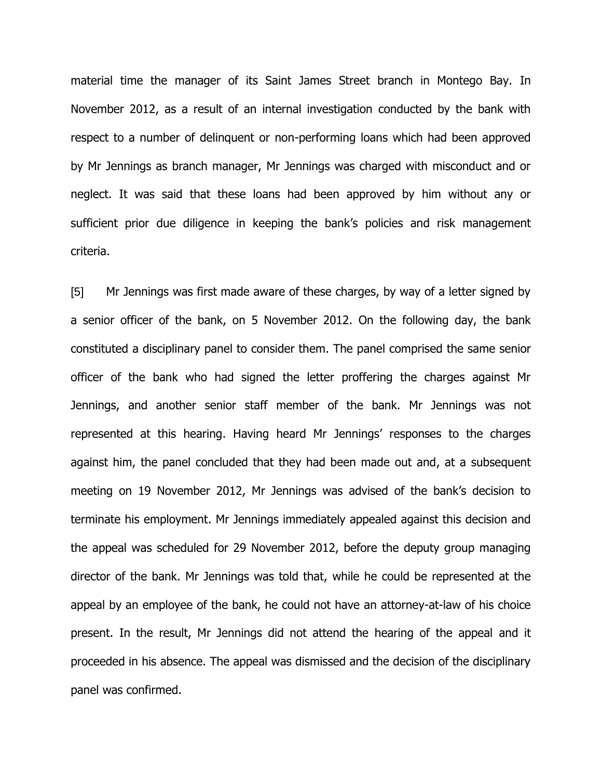material time the manager of its Saint James Street branch in Montego Bay. In November 2012, as a result of an internal investigation conducted by the bank with respect to a number of delinquent or non-performing loans which had been approved by Mr Jennings as branch manager, Mr Jennings was charged with misconduct and or neglect. It was said that these loans had been approved by him without any or sufficient prior due diligence in keeping the bank's policies and risk management criteria.

[5] Mr Jennings was first made aware of these charges, by way of a letter signed by a senior officer of the bank, on 5 November 2012. On the following day, the bank constituted a disciplinary panel to consider them. The panel comprised the same senior officer of the bank who had signed the letter proffering the charges against Mr Jennings, and another senior staff member of the bank. Mr Jennings was not represented at this hearing. Having heard Mr Jennings" responses to the charges against him, the panel concluded that they had been made out and, at a subsequent meeting on 19 November 2012, Mr Jennings was advised of the bank"s decision to terminate his employment. Mr Jennings immediately appealed against this decision and the appeal was scheduled for 29 November 2012, before the deputy group managing director of the bank. Mr Jennings was told that, while he could be represented at the appeal by an employee of the bank, he could not have an attorney-at-law of his choice present. In the result, Mr Jennings did not attend the hearing of the appeal and it proceeded in his absence. The appeal was dismissed and the decision of the disciplinary panel was confirmed.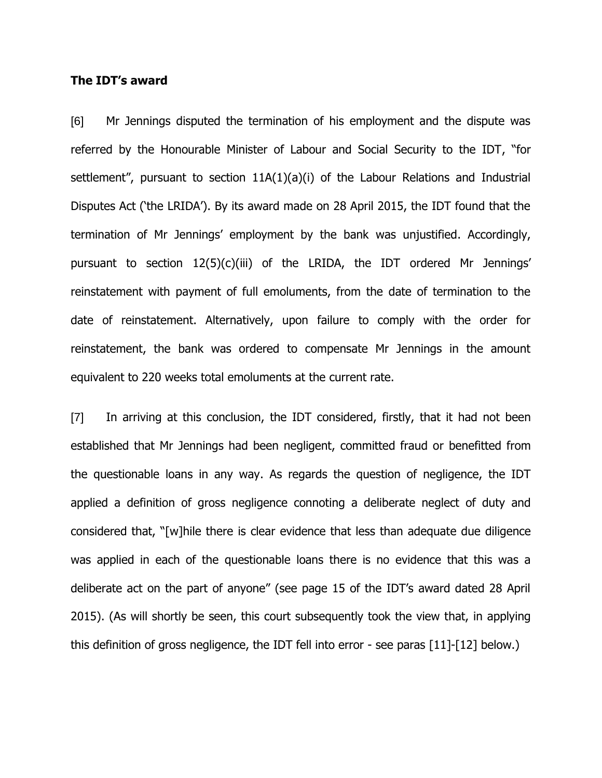### **The IDT's award**

[6] Mr Jennings disputed the termination of his employment and the dispute was referred by the Honourable Minister of Labour and Social Security to the IDT, "for settlement", pursuant to section 11A(1)(a)(i) of the Labour Relations and Industrial Disputes Act ('the LRIDA'). By its award made on 28 April 2015, the IDT found that the termination of Mr Jennings" employment by the bank was unjustified. Accordingly, pursuant to section 12(5)(c)(iii) of the LRIDA, the IDT ordered Mr Jennings' reinstatement with payment of full emoluments, from the date of termination to the date of reinstatement. Alternatively, upon failure to comply with the order for reinstatement, the bank was ordered to compensate Mr Jennings in the amount equivalent to 220 weeks total emoluments at the current rate.

[7] In arriving at this conclusion, the IDT considered, firstly, that it had not been established that Mr Jennings had been negligent, committed fraud or benefitted from the questionable loans in any way. As regards the question of negligence, the IDT applied a definition of gross negligence connoting a deliberate neglect of duty and considered that, "[w]hile there is clear evidence that less than adequate due diligence was applied in each of the questionable loans there is no evidence that this was a deliberate act on the part of anyone" (see page 15 of the IDT"s award dated 28 April 2015). (As will shortly be seen, this court subsequently took the view that, in applying this definition of gross negligence, the IDT fell into error - see paras [11]-[12] below.)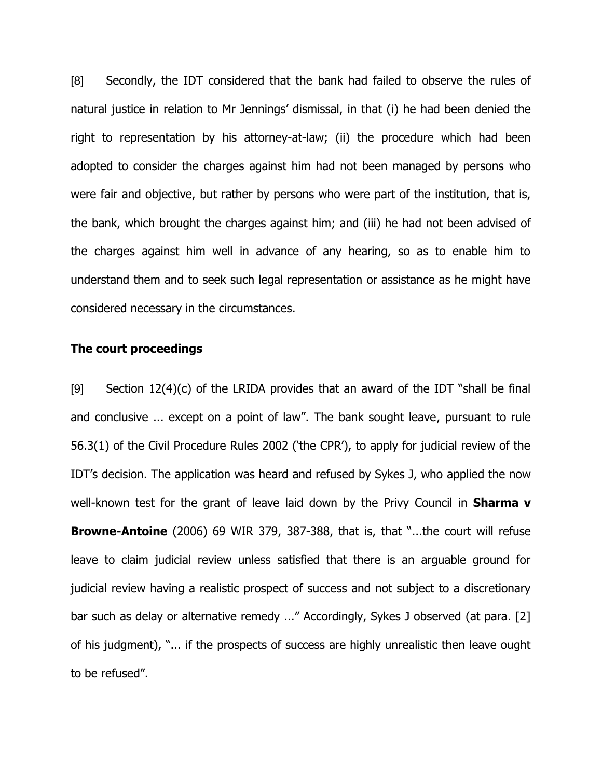[8] Secondly, the IDT considered that the bank had failed to observe the rules of natural justice in relation to Mr Jennings" dismissal, in that (i) he had been denied the right to representation by his attorney-at-law; (ii) the procedure which had been adopted to consider the charges against him had not been managed by persons who were fair and objective, but rather by persons who were part of the institution, that is, the bank, which brought the charges against him; and (iii) he had not been advised of the charges against him well in advance of any hearing, so as to enable him to understand them and to seek such legal representation or assistance as he might have considered necessary in the circumstances.

### **The court proceedings**

[9] Section  $12(4)(c)$  of the LRIDA provides that an award of the IDT "shall be final and conclusive ... except on a point of law". The bank sought leave, pursuant to rule 56.3(1) of the Civil Procedure Rules 2002 ("the CPR"), to apply for judicial review of the IDT"s decision. The application was heard and refused by Sykes J, who applied the now well-known test for the grant of leave laid down by the Privy Council in **Sharma v Browne-Antoine** (2006) 69 WIR 379, 387-388, that is, that "...the court will refuse leave to claim judicial review unless satisfied that there is an arguable ground for judicial review having a realistic prospect of success and not subject to a discretionary bar such as delay or alternative remedy ..." Accordingly, Sykes J observed (at para. [2] of his judgment), "... if the prospects of success are highly unrealistic then leave ought to be refused".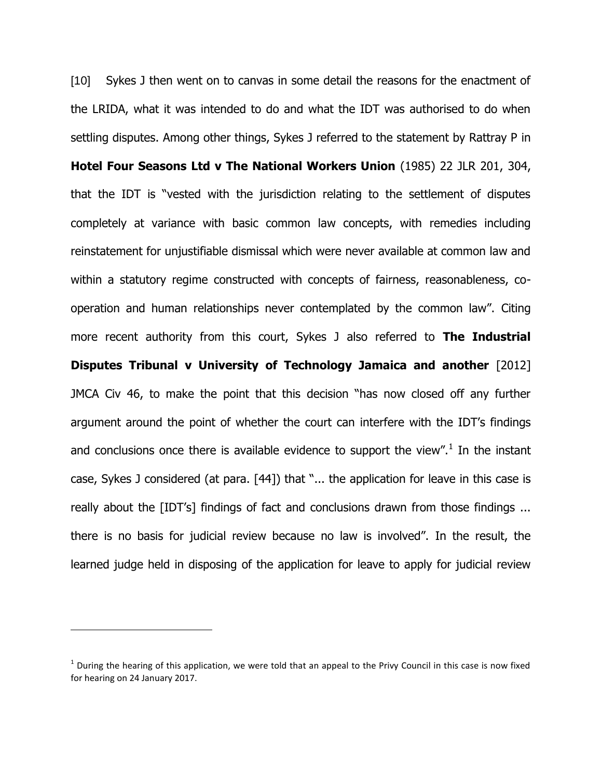[10] Sykes J then went on to canvas in some detail the reasons for the enactment of the LRIDA, what it was intended to do and what the IDT was authorised to do when settling disputes. Among other things, Sykes J referred to the statement by Rattray P in **Hotel Four Seasons Ltd v The National Workers Union** (1985) 22 JLR 201, 304, that the IDT is "vested with the jurisdiction relating to the settlement of disputes completely at variance with basic common law concepts, with remedies including reinstatement for unjustifiable dismissal which were never available at common law and within a statutory regime constructed with concepts of fairness, reasonableness, cooperation and human relationships never contemplated by the common law". Citing more recent authority from this court, Sykes J also referred to **The Industrial Disputes Tribunal v University of Technology Jamaica and another** [2012] JMCA Civ 46, to make the point that this decision "has now closed off any further argument around the point of whether the court can interfere with the IDT"s findings and conclusions once there is available evidence to support the view".<sup>1</sup> In the instant case, Sykes J considered (at para. [44]) that "... the application for leave in this case is really about the [IDT's] findings of fact and conclusions drawn from those findings ... there is no basis for judicial review because no law is involved". In the result, the learned judge held in disposing of the application for leave to apply for judicial review

 $\overline{a}$ 

 $1$  During the hearing of this application, we were told that an appeal to the Privy Council in this case is now fixed for hearing on 24 January 2017.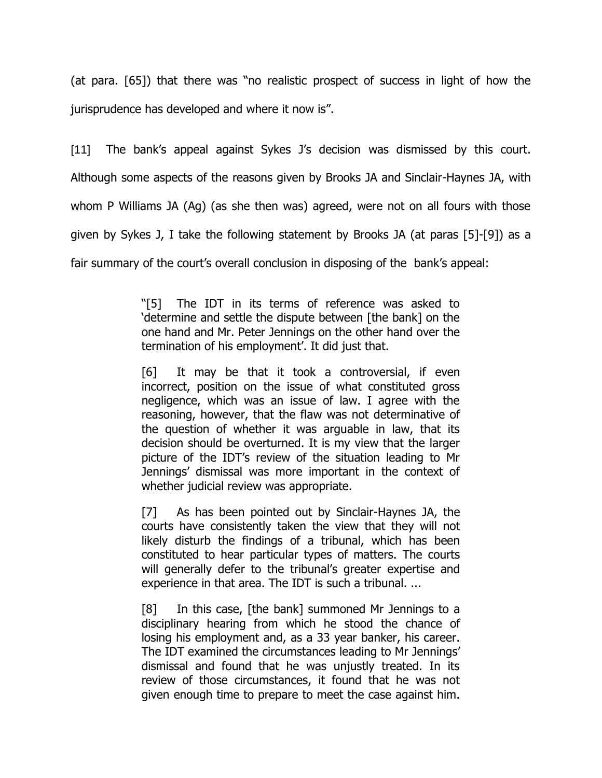(at para. [65]) that there was "no realistic prospect of success in light of how the jurisprudence has developed and where it now is".

[11] The bank's appeal against Sykes J's decision was dismissed by this court. Although some aspects of the reasons given by Brooks JA and Sinclair-Haynes JA, with whom P Williams JA (Ag) (as she then was) agreed, were not on all fours with those given by Sykes J, I take the following statement by Brooks JA (at paras [5]-[9]) as a fair summary of the court's overall conclusion in disposing of the bank's appeal:

> "[5] The IDT in its terms of reference was asked to "determine and settle the dispute between [the bank] on the one hand and Mr. Peter Jennings on the other hand over the termination of his employment'. It did just that.

> [6] It may be that it took a controversial, if even incorrect, position on the issue of what constituted gross negligence, which was an issue of law. I agree with the reasoning, however, that the flaw was not determinative of the question of whether it was arguable in law, that its decision should be overturned. It is my view that the larger picture of the IDT"s review of the situation leading to Mr Jennings" dismissal was more important in the context of whether judicial review was appropriate.

> [7] As has been pointed out by Sinclair-Haynes JA, the courts have consistently taken the view that they will not likely disturb the findings of a tribunal, which has been constituted to hear particular types of matters. The courts will generally defer to the tribunal's greater expertise and experience in that area. The IDT is such a tribunal. ...

> [8] In this case, [the bank] summoned Mr Jennings to a disciplinary hearing from which he stood the chance of losing his employment and, as a 33 year banker, his career. The IDT examined the circumstances leading to Mr Jennings" dismissal and found that he was unjustly treated. In its review of those circumstances, it found that he was not given enough time to prepare to meet the case against him.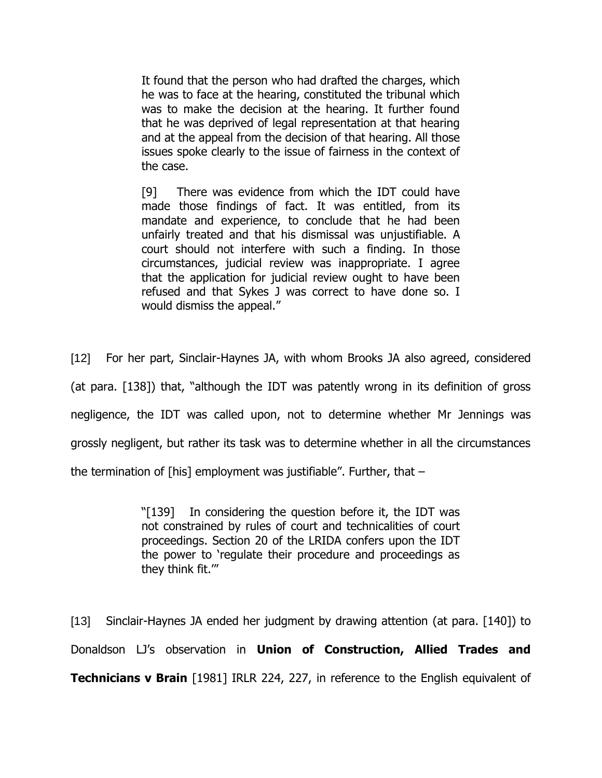It found that the person who had drafted the charges, which he was to face at the hearing, constituted the tribunal which was to make the decision at the hearing. It further found that he was deprived of legal representation at that hearing and at the appeal from the decision of that hearing. All those issues spoke clearly to the issue of fairness in the context of the case.

[9] There was evidence from which the IDT could have made those findings of fact. It was entitled, from its mandate and experience, to conclude that he had been unfairly treated and that his dismissal was unjustifiable. A court should not interfere with such a finding. In those circumstances, judicial review was inappropriate. I agree that the application for judicial review ought to have been refused and that Sykes J was correct to have done so. I would dismiss the appeal."

[12] For her part, Sinclair-Haynes JA, with whom Brooks JA also agreed, considered (at para. [138]) that, "although the IDT was patently wrong in its definition of gross negligence, the IDT was called upon, not to determine whether Mr Jennings was grossly negligent, but rather its task was to determine whether in all the circumstances the termination of [his] employment was justifiable". Further, that –

> "[139] In considering the question before it, the IDT was not constrained by rules of court and technicalities of court proceedings. Section 20 of the LRIDA confers upon the IDT the power to "regulate their procedure and proceedings as they think fit.""

[13] Sinclair-Haynes JA ended her judgment by drawing attention (at para. [140]) to Donaldson LJ"s observation in **Union of Construction, Allied Trades and Technicians v Brain** [1981] IRLR 224, 227, in reference to the English equivalent of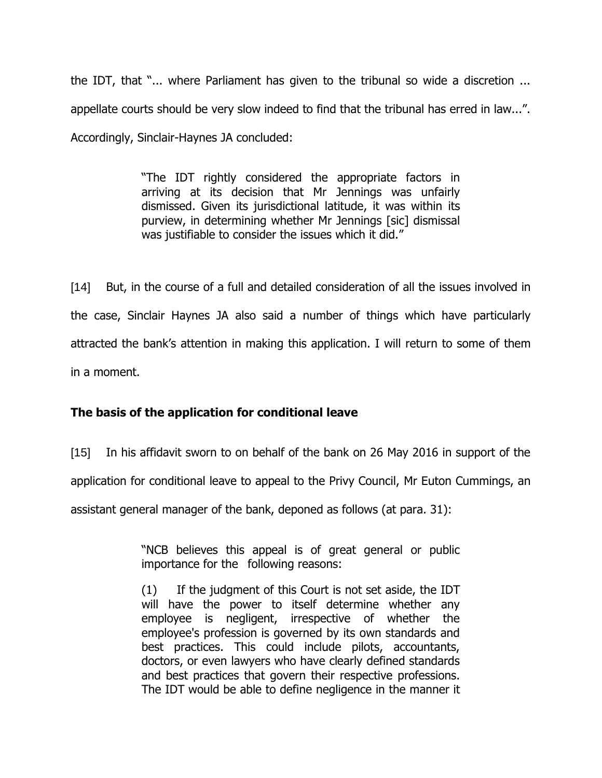the IDT, that "... where Parliament has given to the tribunal so wide a discretion ... appellate courts should be very slow indeed to find that the tribunal has erred in law...". Accordingly, Sinclair-Haynes JA concluded:

> "The IDT rightly considered the appropriate factors in arriving at its decision that Mr Jennings was unfairly dismissed. Given its jurisdictional latitude, it was within its purview, in determining whether Mr Jennings [sic] dismissal was justifiable to consider the issues which it did."

[14] But, in the course of a full and detailed consideration of all the issues involved in the case, Sinclair Haynes JA also said a number of things which have particularly attracted the bank"s attention in making this application. I will return to some of them in a moment.

# **The basis of the application for conditional leave**

[15] In his affidavit sworn to on behalf of the bank on 26 May 2016 in support of the

application for conditional leave to appeal to the Privy Council, Mr Euton Cummings, an

assistant general manager of the bank, deponed as follows (at para. 31):

"NCB believes this appeal is of great general or public importance for the following reasons:

(1) If the judgment of this Court is not set aside, the IDT will have the power to itself determine whether any employee is negligent, irrespective of whether the employee's profession is governed by its own standards and best practices. This could include pilots, accountants, doctors, or even lawyers who have clearly defined standards and best practices that govern their respective professions. The IDT would be able to define negligence in the manner it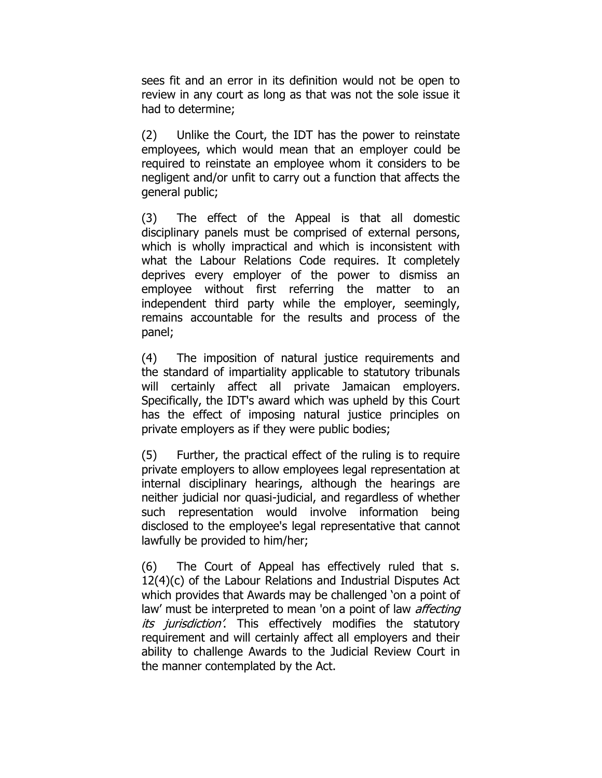sees fit and an error in its definition would not be open to review in any court as long as that was not the sole issue it had to determine;

(2) Unlike the Court, the IDT has the power to reinstate employees, which would mean that an employer could be required to reinstate an employee whom it considers to be negligent and/or unfit to carry out a function that affects the general public;

(3) The effect of the Appeal is that all domestic disciplinary panels must be comprised of external persons, which is wholly impractical and which is inconsistent with what the Labour Relations Code requires. It completely deprives every employer of the power to dismiss an employee without first referring the matter to an independent third party while the employer, seemingly, remains accountable for the results and process of the panel;

(4) The imposition of natural justice requirements and the standard of impartiality applicable to statutory tribunals will certainly affect all private Jamaican employers. Specifically, the IDT's award which was upheld by this Court has the effect of imposing natural justice principles on private employers as if they were public bodies;

(5) Further, the practical effect of the ruling is to require private employers to allow employees legal representation at internal disciplinary hearings, although the hearings are neither judicial nor quasi-judicial, and regardless of whether such representation would involve information being disclosed to the employee's legal representative that cannot lawfully be provided to him/her;

(6) The Court of Appeal has effectively ruled that s. 12(4)(c) of the Labour Relations and Industrial Disputes Act which provides that Awards may be challenged "on a point of law' must be interpreted to mean 'on a point of law *affecting its jurisdiction*? This effectively modifies the statutory requirement and will certainly affect all employers and their ability to challenge Awards to the Judicial Review Court in the manner contemplated by the Act.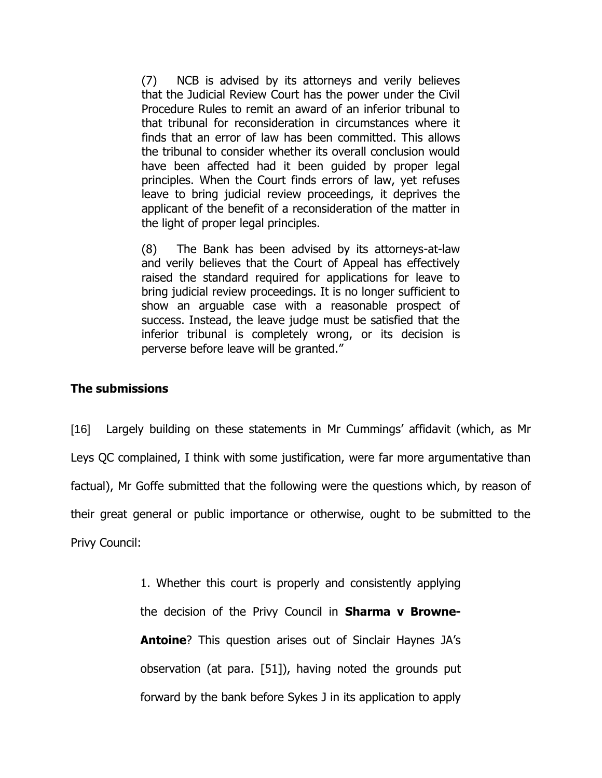(7) NCB is advised by its attorneys and verily believes that the Judicial Review Court has the power under the Civil Procedure Rules to remit an award of an inferior tribunal to that tribunal for reconsideration in circumstances where it finds that an error of law has been committed. This allows the tribunal to consider whether its overall conclusion would have been affected had it been guided by proper legal principles. When the Court finds errors of law, yet refuses leave to bring judicial review proceedings, it deprives the applicant of the benefit of a reconsideration of the matter in the light of proper legal principles.

(8) The Bank has been advised by its attorneys-at-law and verily believes that the Court of Appeal has effectively raised the standard required for applications for leave to bring judicial review proceedings. It is no longer sufficient to show an arguable case with a reasonable prospect of success. Instead, the leave judge must be satisfied that the inferior tribunal is completely wrong, or its decision is perverse before leave will be granted."

# **The submissions**

[16] Largely building on these statements in Mr Cummings" affidavit (which, as Mr Leys QC complained, I think with some justification, were far more argumentative than factual), Mr Goffe submitted that the following were the questions which, by reason of their great general or public importance or otherwise, ought to be submitted to the Privy Council:

> 1. Whether this court is properly and consistently applying the decision of the Privy Council in **Sharma v Browne-Antoine**? This question arises out of Sinclair Haynes JA's observation (at para. [51]), having noted the grounds put forward by the bank before Sykes J in its application to apply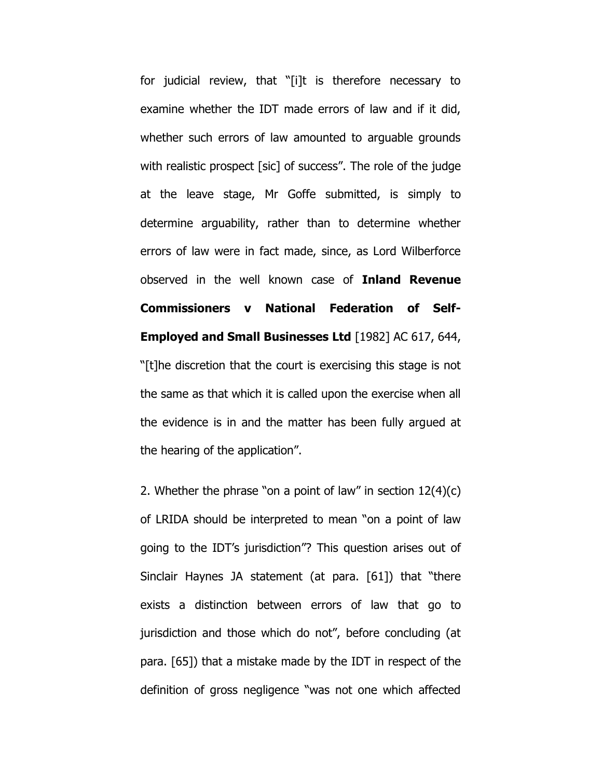for judicial review, that "[i]t is therefore necessary to examine whether the IDT made errors of law and if it did, whether such errors of law amounted to arguable grounds with realistic prospect [sic] of success". The role of the judge at the leave stage, Mr Goffe submitted, is simply to determine arguability, rather than to determine whether errors of law were in fact made, since, as Lord Wilberforce observed in the well known case of **Inland Revenue Commissioners v National Federation of Self-Employed and Small Businesses Ltd** [1982] AC 617, 644, "[t]he discretion that the court is exercising this stage is not the same as that which it is called upon the exercise when all the evidence is in and the matter has been fully argued at the hearing of the application".

2. Whether the phrase "on a point of law" in section 12(4)(c) of LRIDA should be interpreted to mean "on a point of law going to the IDT"s jurisdiction"? This question arises out of Sinclair Haynes JA statement (at para. [61]) that "there exists a distinction between errors of law that go to jurisdiction and those which do not", before concluding (at para. [65]) that a mistake made by the IDT in respect of the definition of gross negligence "was not one which affected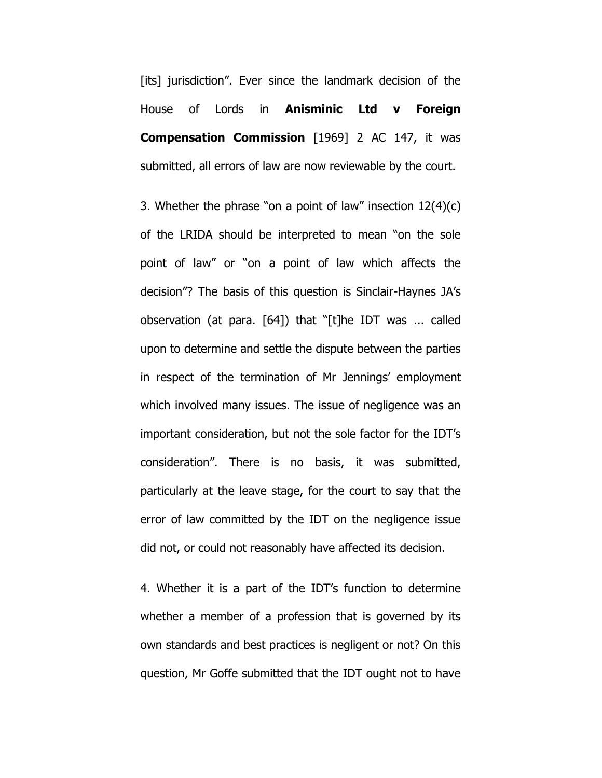[its] jurisdiction". Ever since the landmark decision of the House of Lords in **Anisminic Ltd v Foreign Compensation Commission** [1969] 2 AC 147, it was submitted, all errors of law are now reviewable by the court.

3. Whether the phrase "on a point of law" insection 12(4)(c) of the LRIDA should be interpreted to mean "on the sole point of law" or "on a point of law which affects the decision"? The basis of this question is Sinclair-Haynes JA"s observation (at para. [64]) that "[t]he IDT was ... called upon to determine and settle the dispute between the parties in respect of the termination of Mr Jennings' employment which involved many issues. The issue of negligence was an important consideration, but not the sole factor for the IDT"s consideration". There is no basis, it was submitted, particularly at the leave stage, for the court to say that the error of law committed by the IDT on the negligence issue did not, or could not reasonably have affected its decision.

4. Whether it is a part of the IDT"s function to determine whether a member of a profession that is governed by its own standards and best practices is negligent or not? On this question, Mr Goffe submitted that the IDT ought not to have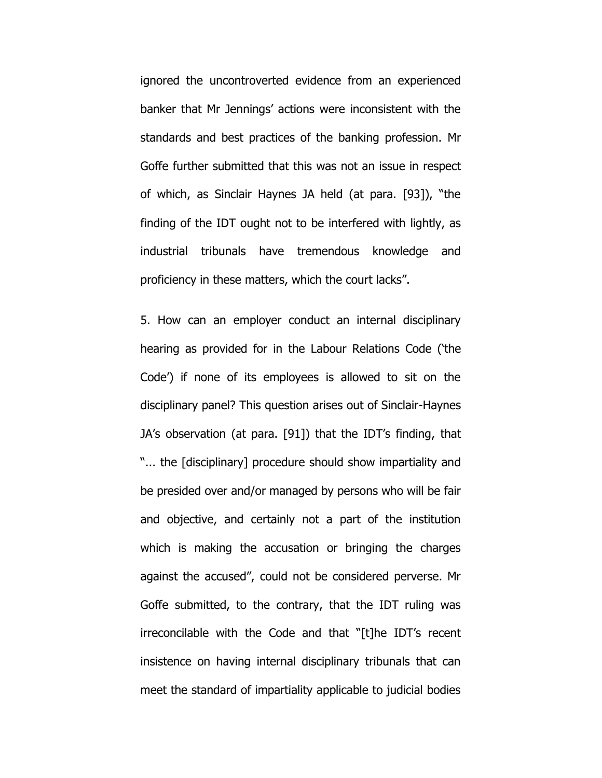ignored the uncontroverted evidence from an experienced banker that Mr Jennings" actions were inconsistent with the standards and best practices of the banking profession. Mr Goffe further submitted that this was not an issue in respect of which, as Sinclair Haynes JA held (at para. [93]), "the finding of the IDT ought not to be interfered with lightly, as industrial tribunals have tremendous knowledge and proficiency in these matters, which the court lacks".

5. How can an employer conduct an internal disciplinary hearing as provided for in the Labour Relations Code ("the Code") if none of its employees is allowed to sit on the disciplinary panel? This question arises out of Sinclair-Haynes JA"s observation (at para. [91]) that the IDT"s finding, that "... the [disciplinary] procedure should show impartiality and be presided over and/or managed by persons who will be fair and objective, and certainly not a part of the institution which is making the accusation or bringing the charges against the accused", could not be considered perverse. Mr Goffe submitted, to the contrary, that the IDT ruling was irreconcilable with the Code and that "[t]he IDT"s recent insistence on having internal disciplinary tribunals that can meet the standard of impartiality applicable to judicial bodies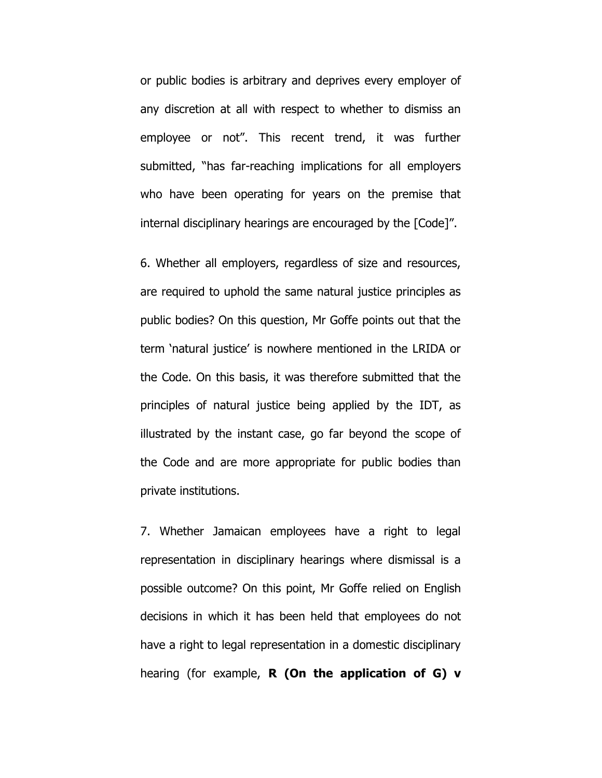or public bodies is arbitrary and deprives every employer of any discretion at all with respect to whether to dismiss an employee or not". This recent trend, it was further submitted, "has far-reaching implications for all employers who have been operating for years on the premise that internal disciplinary hearings are encouraged by the [Code]".

6. Whether all employers, regardless of size and resources, are required to uphold the same natural justice principles as public bodies? On this question, Mr Goffe points out that the term "natural justice" is nowhere mentioned in the LRIDA or the Code. On this basis, it was therefore submitted that the principles of natural justice being applied by the IDT, as illustrated by the instant case, go far beyond the scope of the Code and are more appropriate for public bodies than private institutions.

7. Whether Jamaican employees have a right to legal representation in disciplinary hearings where dismissal is a possible outcome? On this point, Mr Goffe relied on English decisions in which it has been held that employees do not have a right to legal representation in a domestic disciplinary hearing (for example, **R (On the application of G) v**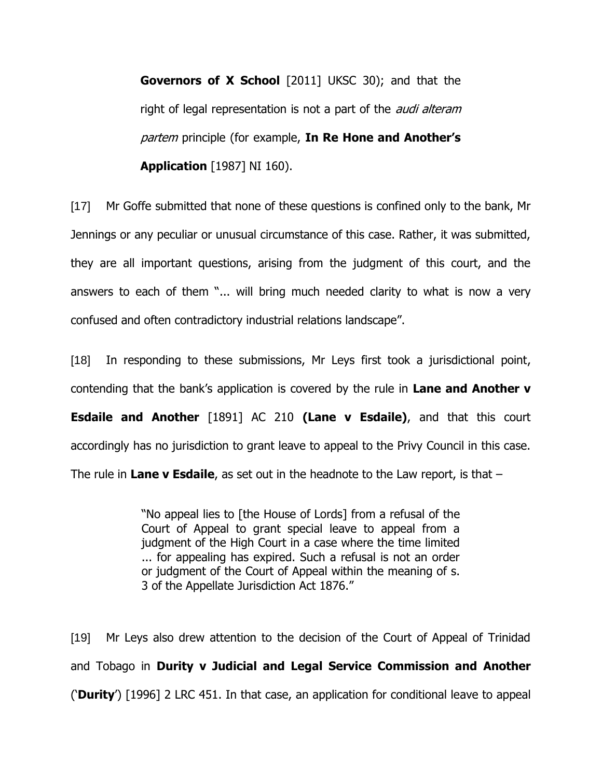**Governors of X School** [2011] UKSC 30); and that the right of legal representation is not a part of the *audi alteram* partem principle (for example, **In Re Hone and Another's Application** [1987] NI 160).

[17] Mr Goffe submitted that none of these questions is confined only to the bank, Mr Jennings or any peculiar or unusual circumstance of this case. Rather, it was submitted, they are all important questions, arising from the judgment of this court, and the answers to each of them "... will bring much needed clarity to what is now a very confused and often contradictory industrial relations landscape".

[18] In responding to these submissions, Mr Leys first took a jurisdictional point, contending that the bank"s application is covered by the rule in **Lane and Another v Esdaile and Another** [1891] AC 210 **(Lane v Esdaile)**, and that this court accordingly has no jurisdiction to grant leave to appeal to the Privy Council in this case. The rule in **Lane v Esdaile**, as set out in the headnote to the Law report, is that –

> "No appeal lies to [the House of Lords] from a refusal of the Court of Appeal to grant special leave to appeal from a judgment of the High Court in a case where the time limited ... for appealing has expired. Such a refusal is not an order or judgment of the Court of Appeal within the meaning of s. 3 of the Appellate Jurisdiction Act 1876."

[19] Mr Leys also drew attention to the decision of the Court of Appeal of Trinidad and Tobago in **Durity v Judicial and Legal Service Commission and Another** ("**Durity**") [1996] 2 LRC 451. In that case, an application for conditional leave to appeal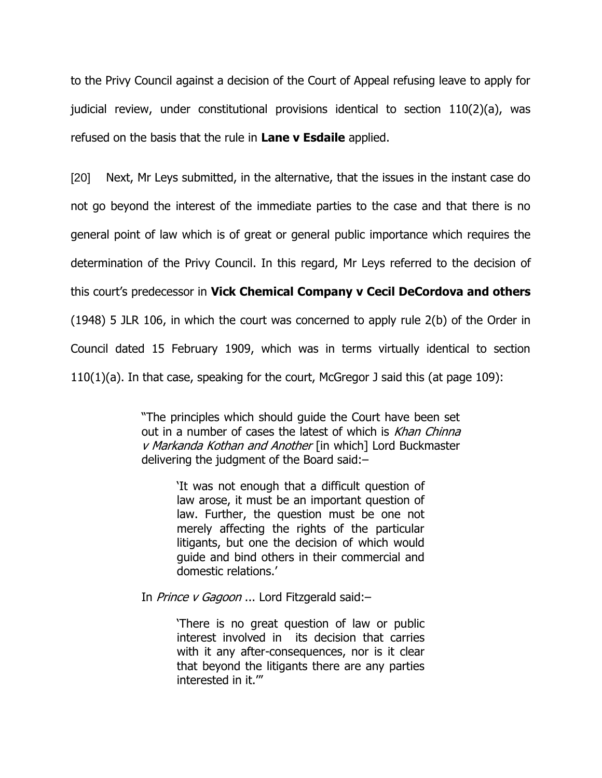to the Privy Council against a decision of the Court of Appeal refusing leave to apply for judicial review, under constitutional provisions identical to section 110(2)(a), was refused on the basis that the rule in **Lane v Esdaile** applied.

[20] Next, Mr Leys submitted, in the alternative, that the issues in the instant case do not go beyond the interest of the immediate parties to the case and that there is no general point of law which is of great or general public importance which requires the determination of the Privy Council. In this regard, Mr Leys referred to the decision of this court"s predecessor in **Vick Chemical Company v Cecil DeCordova and others**  (1948) 5 JLR 106, in which the court was concerned to apply rule 2(b) of the Order in Council dated 15 February 1909, which was in terms virtually identical to section 110(1)(a). In that case, speaking for the court, McGregor J said this (at page 109):

> "The principles which should guide the Court have been set out in a number of cases the latest of which is Khan Chinna v Markanda Kothan and Another [in which] Lord Buckmaster delivering the judgment of the Board said:–

> > "It was not enough that a difficult question of law arose, it must be an important question of law. Further, the question must be one not merely affecting the rights of the particular litigants, but one the decision of which would guide and bind others in their commercial and domestic relations."

In *Prince v Gagoon* ... Lord Fitzgerald said:-

"There is no great question of law or public interest involved in its decision that carries with it any after-consequences, nor is it clear that beyond the litigants there are any parties interested in it.""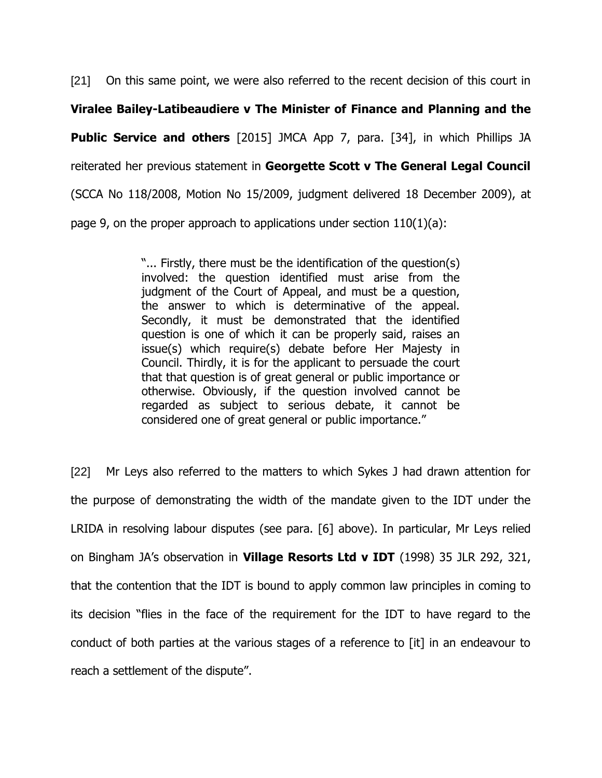[21] On this same point, we were also referred to the recent decision of this court in **Viralee Bailey-Latibeaudiere v The Minister of Finance and Planning and the Public Service and others** [2015] JMCA App 7, para. [34], in which Phillips JA reiterated her previous statement in **Georgette Scott v The General Legal Council** (SCCA No 118/2008, Motion No 15/2009, judgment delivered 18 December 2009), at page 9, on the proper approach to applications under section 110(1)(a):

> "... Firstly, there must be the identification of the question(s) involved: the question identified must arise from the judgment of the Court of Appeal, and must be a question, the answer to which is determinative of the appeal. Secondly, it must be demonstrated that the identified question is one of which it can be properly said, raises an issue(s) which require(s) debate before Her Majesty in Council. Thirdly, it is for the applicant to persuade the court that that question is of great general or public importance or otherwise. Obviously, if the question involved cannot be regarded as subject to serious debate, it cannot be considered one of great general or public importance."

[22] Mr Leys also referred to the matters to which Sykes J had drawn attention for the purpose of demonstrating the width of the mandate given to the IDT under the LRIDA in resolving labour disputes (see para. [6] above). In particular, Mr Leys relied on Bingham JA"s observation in **Village Resorts Ltd v IDT** (1998) 35 JLR 292, 321, that the contention that the IDT is bound to apply common law principles in coming to its decision "flies in the face of the requirement for the IDT to have regard to the conduct of both parties at the various stages of a reference to [it] in an endeavour to reach a settlement of the dispute".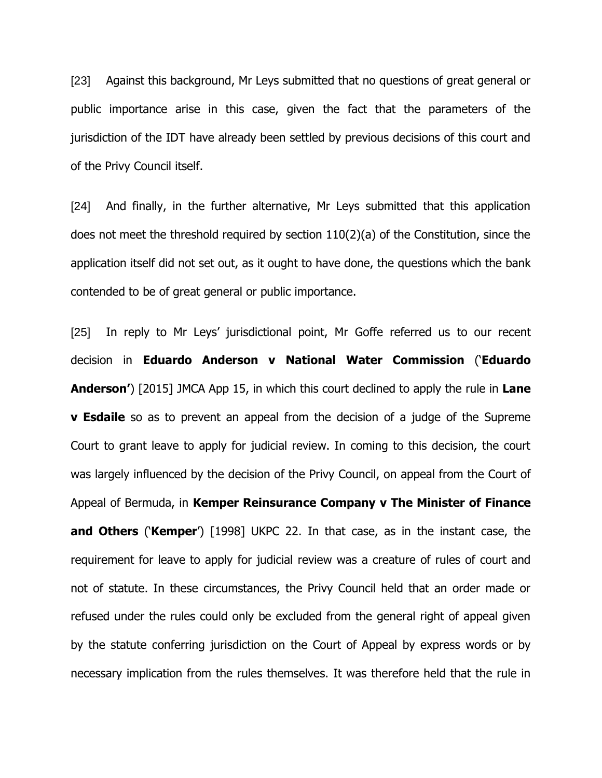[23] Against this background, Mr Leys submitted that no questions of great general or public importance arise in this case, given the fact that the parameters of the jurisdiction of the IDT have already been settled by previous decisions of this court and of the Privy Council itself.

[24] And finally, in the further alternative, Mr Leys submitted that this application does not meet the threshold required by section 110(2)(a) of the Constitution, since the application itself did not set out, as it ought to have done, the questions which the bank contended to be of great general or public importance.

[25] In reply to Mr Leys' jurisdictional point, Mr Goffe referred us to our recent decision in **Eduardo Anderson v National Water Commission** ("**Eduardo Anderson'**) [2015] JMCA App 15, in which this court declined to apply the rule in **Lane v Esdaile** so as to prevent an appeal from the decision of a judge of the Supreme Court to grant leave to apply for judicial review. In coming to this decision, the court was largely influenced by the decision of the Privy Council, on appeal from the Court of Appeal of Bermuda, in **Kemper Reinsurance Company v The Minister of Finance and Others** ("**Kemper**") [1998] UKPC 22. In that case, as in the instant case, the requirement for leave to apply for judicial review was a creature of rules of court and not of statute. In these circumstances, the Privy Council held that an order made or refused under the rules could only be excluded from the general right of appeal given by the statute conferring jurisdiction on the Court of Appeal by express words or by necessary implication from the rules themselves. It was therefore held that the rule in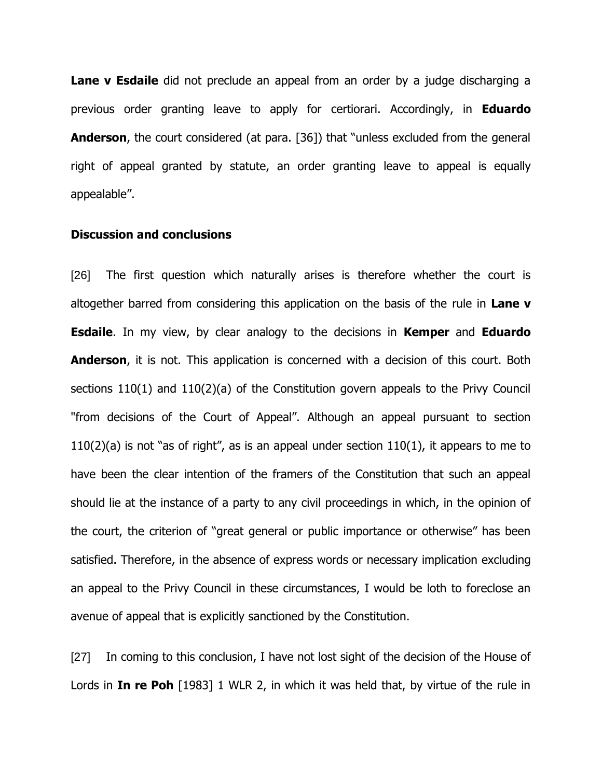**Lane v Esdaile** did not preclude an appeal from an order by a judge discharging a previous order granting leave to apply for certiorari. Accordingly, in **Eduardo Anderson**, the court considered (at para. [36]) that "unless excluded from the general right of appeal granted by statute, an order granting leave to appeal is equally appealable".

#### **Discussion and conclusions**

[26] The first question which naturally arises is therefore whether the court is altogether barred from considering this application on the basis of the rule in **Lane v Esdaile**. In my view, by clear analogy to the decisions in **Kemper** and **Eduardo Anderson**, it is not. This application is concerned with a decision of this court. Both sections 110(1) and 110(2)(a) of the Constitution govern appeals to the Privy Council "from decisions of the Court of Appeal". Although an appeal pursuant to section  $110(2)(a)$  is not "as of right", as is an appeal under section  $110(1)$ , it appears to me to have been the clear intention of the framers of the Constitution that such an appeal should lie at the instance of a party to any civil proceedings in which, in the opinion of the court, the criterion of "great general or public importance or otherwise" has been satisfied. Therefore, in the absence of express words or necessary implication excluding an appeal to the Privy Council in these circumstances, I would be loth to foreclose an avenue of appeal that is explicitly sanctioned by the Constitution.

[27] In coming to this conclusion, I have not lost sight of the decision of the House of Lords in **In re Poh** [1983] 1 WLR 2, in which it was held that, by virtue of the rule in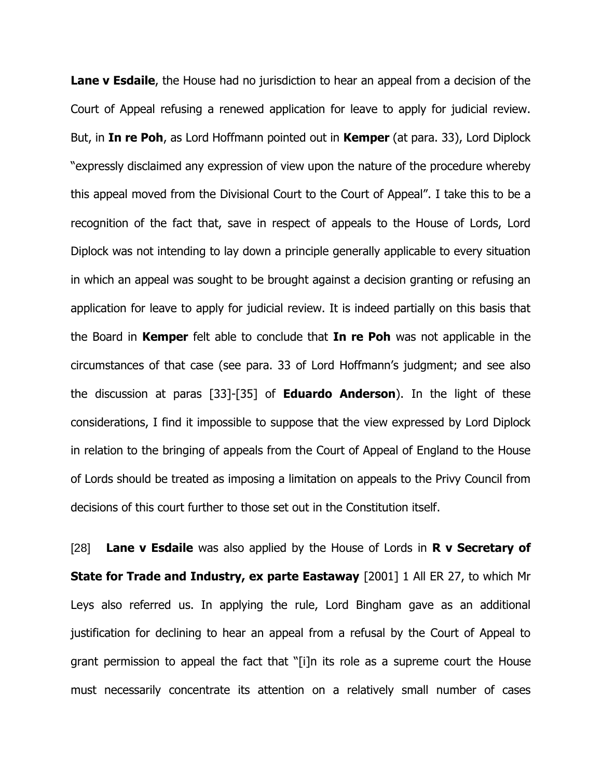**Lane v Esdaile**, the House had no jurisdiction to hear an appeal from a decision of the Court of Appeal refusing a renewed application for leave to apply for judicial review. But, in **In re Poh**, as Lord Hoffmann pointed out in **Kemper** (at para. 33), Lord Diplock "expressly disclaimed any expression of view upon the nature of the procedure whereby this appeal moved from the Divisional Court to the Court of Appeal". I take this to be a recognition of the fact that, save in respect of appeals to the House of Lords, Lord Diplock was not intending to lay down a principle generally applicable to every situation in which an appeal was sought to be brought against a decision granting or refusing an application for leave to apply for judicial review. It is indeed partially on this basis that the Board in **Kemper** felt able to conclude that **In re Poh** was not applicable in the circumstances of that case (see para. 33 of Lord Hoffmann"s judgment; and see also the discussion at paras [33]-[35] of **Eduardo Anderson**). In the light of these considerations, I find it impossible to suppose that the view expressed by Lord Diplock in relation to the bringing of appeals from the Court of Appeal of England to the House of Lords should be treated as imposing a limitation on appeals to the Privy Council from decisions of this court further to those set out in the Constitution itself.

[28] **Lane v Esdaile** was also applied by the House of Lords in **R v Secretary of State for Trade and Industry, ex parte Eastaway** [2001] 1 All ER 27, to which Mr Leys also referred us. In applying the rule, Lord Bingham gave as an additional justification for declining to hear an appeal from a refusal by the Court of Appeal to grant permission to appeal the fact that "[i]n its role as a supreme court the House must necessarily concentrate its attention on a relatively small number of cases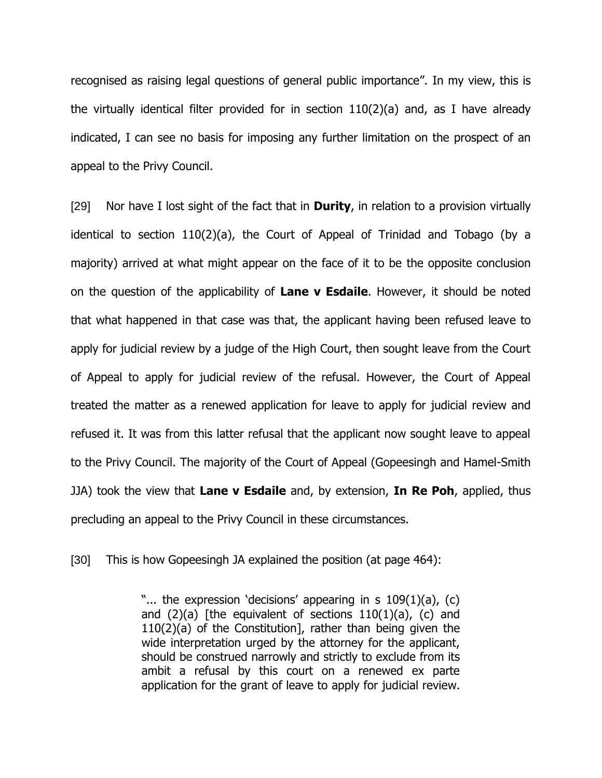recognised as raising legal questions of general public importance". In my view, this is the virtually identical filter provided for in section 110(2)(a) and, as I have already indicated, I can see no basis for imposing any further limitation on the prospect of an appeal to the Privy Council.

[29] Nor have I lost sight of the fact that in **Durity**, in relation to a provision virtually identical to section 110(2)(a), the Court of Appeal of Trinidad and Tobago (by a majority) arrived at what might appear on the face of it to be the opposite conclusion on the question of the applicability of **Lane v Esdaile**. However, it should be noted that what happened in that case was that, the applicant having been refused leave to apply for judicial review by a judge of the High Court, then sought leave from the Court of Appeal to apply for judicial review of the refusal. However, the Court of Appeal treated the matter as a renewed application for leave to apply for judicial review and refused it. It was from this latter refusal that the applicant now sought leave to appeal to the Privy Council. The majority of the Court of Appeal (Gopeesingh and Hamel-Smith JJA) took the view that **Lane v Esdaile** and, by extension, **In Re Poh**, applied, thus precluding an appeal to the Privy Council in these circumstances.

[30] This is how Gopeesingh JA explained the position (at page 464):

"... the expression 'decisions' appearing in s 109(1)(a), (c) and  $(2)(a)$  [the equivalent of sections  $110(1)(a)$ , (c) and 110(2)(a) of the Constitution], rather than being given the wide interpretation urged by the attorney for the applicant, should be construed narrowly and strictly to exclude from its ambit a refusal by this court on a renewed ex parte application for the grant of leave to apply for judicial review.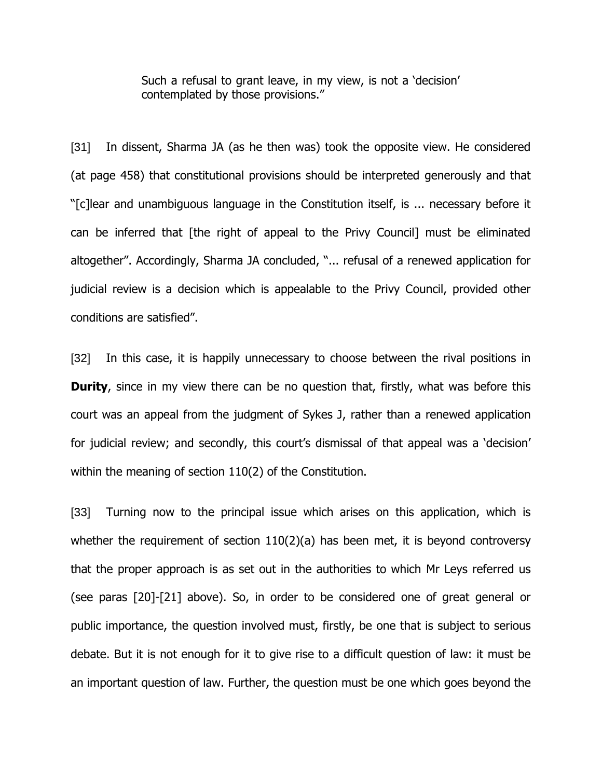Such a refusal to grant leave, in my view, is not a 'decision' contemplated by those provisions."

[31] In dissent, Sharma JA (as he then was) took the opposite view. He considered (at page 458) that constitutional provisions should be interpreted generously and that "[c]lear and unambiguous language in the Constitution itself, is ... necessary before it can be inferred that [the right of appeal to the Privy Council] must be eliminated altogether". Accordingly, Sharma JA concluded, "... refusal of a renewed application for judicial review is a decision which is appealable to the Privy Council, provided other conditions are satisfied".

[32] In this case, it is happily unnecessary to choose between the rival positions in **Durity**, since in my view there can be no question that, firstly, what was before this court was an appeal from the judgment of Sykes J, rather than a renewed application for judicial review; and secondly, this court's dismissal of that appeal was a 'decision' within the meaning of section 110(2) of the Constitution.

[33] Turning now to the principal issue which arises on this application, which is whether the requirement of section 110(2)(a) has been met, it is beyond controversy that the proper approach is as set out in the authorities to which Mr Leys referred us (see paras [20]-[21] above). So, in order to be considered one of great general or public importance, the question involved must, firstly, be one that is subject to serious debate. But it is not enough for it to give rise to a difficult question of law: it must be an important question of law. Further, the question must be one which goes beyond the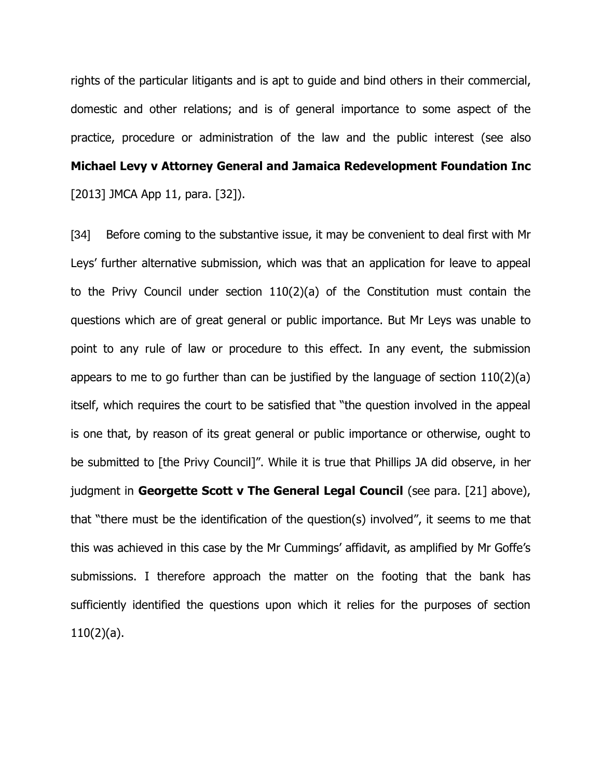rights of the particular litigants and is apt to guide and bind others in their commercial, domestic and other relations; and is of general importance to some aspect of the practice, procedure or administration of the law and the public interest (see also **Michael Levy v Attorney General and Jamaica Redevelopment Foundation Inc** [2013] JMCA App 11, para. [32]).

[34] Before coming to the substantive issue, it may be convenient to deal first with Mr Leys" further alternative submission, which was that an application for leave to appeal to the Privy Council under section 110(2)(a) of the Constitution must contain the questions which are of great general or public importance. But Mr Leys was unable to point to any rule of law or procedure to this effect. In any event, the submission appears to me to go further than can be justified by the language of section 110(2)(a) itself, which requires the court to be satisfied that "the question involved in the appeal is one that, by reason of its great general or public importance or otherwise, ought to be submitted to [the Privy Council]". While it is true that Phillips JA did observe, in her judgment in **Georgette Scott v The General Legal Council** (see para. [21] above), that "there must be the identification of the question(s) involved", it seems to me that this was achieved in this case by the Mr Cummings' affidavit, as amplified by Mr Goffe's submissions. I therefore approach the matter on the footing that the bank has sufficiently identified the questions upon which it relies for the purposes of section 110(2)(a).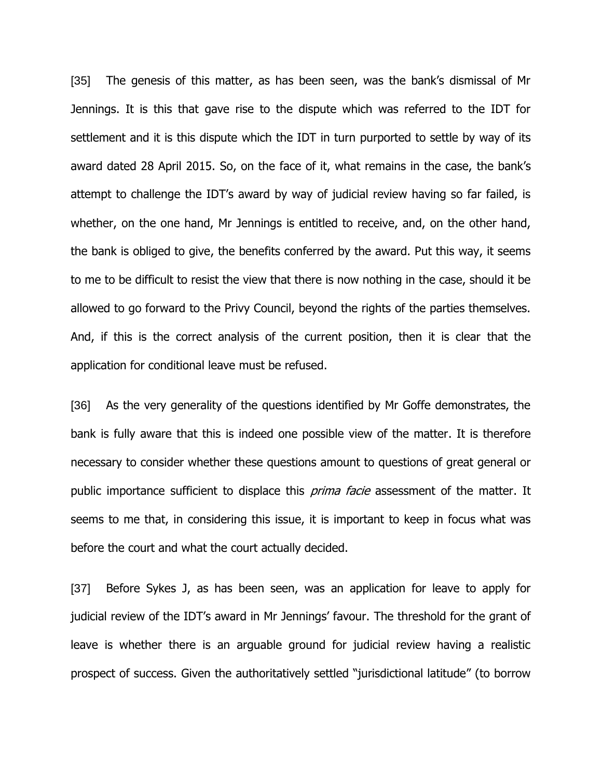[35] The genesis of this matter, as has been seen, was the bank's dismissal of Mr Jennings. It is this that gave rise to the dispute which was referred to the IDT for settlement and it is this dispute which the IDT in turn purported to settle by way of its award dated 28 April 2015. So, on the face of it, what remains in the case, the bank"s attempt to challenge the IDT's award by way of judicial review having so far failed, is whether, on the one hand, Mr Jennings is entitled to receive, and, on the other hand, the bank is obliged to give, the benefits conferred by the award. Put this way, it seems to me to be difficult to resist the view that there is now nothing in the case, should it be allowed to go forward to the Privy Council, beyond the rights of the parties themselves. And, if this is the correct analysis of the current position, then it is clear that the application for conditional leave must be refused.

[36] As the very generality of the questions identified by Mr Goffe demonstrates, the bank is fully aware that this is indeed one possible view of the matter. It is therefore necessary to consider whether these questions amount to questions of great general or public importance sufficient to displace this *prima facie* assessment of the matter. It seems to me that, in considering this issue, it is important to keep in focus what was before the court and what the court actually decided.

[37] Before Sykes J, as has been seen, was an application for leave to apply for judicial review of the IDT's award in Mr Jennings' favour. The threshold for the grant of leave is whether there is an arguable ground for judicial review having a realistic prospect of success. Given the authoritatively settled "jurisdictional latitude" (to borrow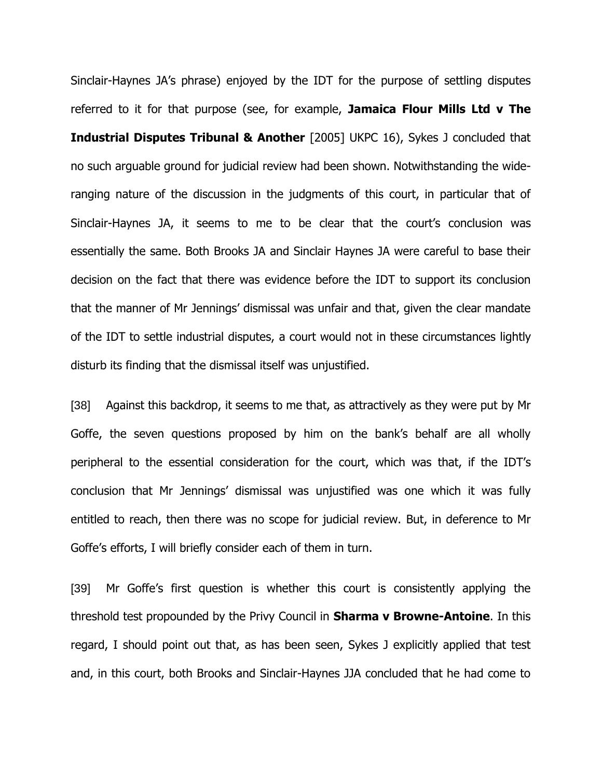Sinclair-Haynes JA"s phrase) enjoyed by the IDT for the purpose of settling disputes referred to it for that purpose (see, for example, **Jamaica Flour Mills Ltd v The Industrial Disputes Tribunal & Another** [2005] UKPC 16), Sykes J concluded that no such arguable ground for judicial review had been shown. Notwithstanding the wideranging nature of the discussion in the judgments of this court, in particular that of Sinclair-Haynes JA, it seems to me to be clear that the court's conclusion was essentially the same. Both Brooks JA and Sinclair Haynes JA were careful to base their decision on the fact that there was evidence before the IDT to support its conclusion that the manner of Mr Jennings" dismissal was unfair and that, given the clear mandate of the IDT to settle industrial disputes, a court would not in these circumstances lightly disturb its finding that the dismissal itself was unjustified.

[38] Against this backdrop, it seems to me that, as attractively as they were put by Mr Goffe, the seven questions proposed by him on the bank"s behalf are all wholly peripheral to the essential consideration for the court, which was that, if the IDT"s conclusion that Mr Jennings" dismissal was unjustified was one which it was fully entitled to reach, then there was no scope for judicial review. But, in deference to Mr Goffe"s efforts, I will briefly consider each of them in turn.

[39] Mr Goffe's first question is whether this court is consistently applying the threshold test propounded by the Privy Council in **Sharma v Browne-Antoine**. In this regard, I should point out that, as has been seen, Sykes J explicitly applied that test and, in this court, both Brooks and Sinclair-Haynes JJA concluded that he had come to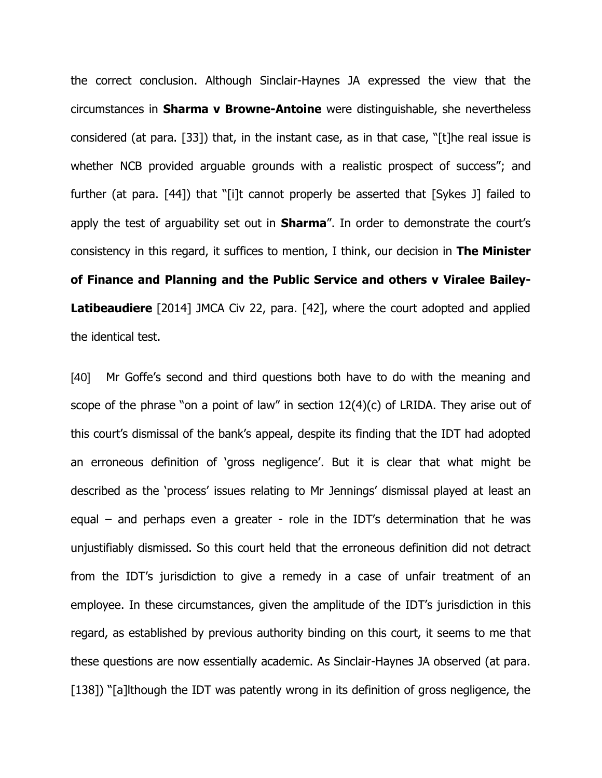the correct conclusion. Although Sinclair-Haynes JA expressed the view that the circumstances in **Sharma v Browne-Antoine** were distinguishable, she nevertheless considered (at para. [33]) that, in the instant case, as in that case, "[t]he real issue is whether NCB provided arguable grounds with a realistic prospect of success"; and further (at para. [44]) that "[i]t cannot properly be asserted that [Sykes J] failed to apply the test of arguability set out in **Sharma**". In order to demonstrate the court's consistency in this regard, it suffices to mention, I think, our decision in **The Minister of Finance and Planning and the Public Service and others v Viralee Bailey-Latibeaudiere** [2014] JMCA Civ 22, para. [42], where the court adopted and applied the identical test.

[40] Mr Goffe"s second and third questions both have to do with the meaning and scope of the phrase "on a point of law" in section 12(4)(c) of LRIDA. They arise out of this court"s dismissal of the bank"s appeal, despite its finding that the IDT had adopted an erroneous definition of 'gross negligence'. But it is clear that what might be described as the 'process' issues relating to Mr Jennings' dismissal played at least an equal – and perhaps even a greater - role in the IDT's determination that he was unjustifiably dismissed. So this court held that the erroneous definition did not detract from the IDT's jurisdiction to give a remedy in a case of unfair treatment of an employee. In these circumstances, given the amplitude of the IDT"s jurisdiction in this regard, as established by previous authority binding on this court, it seems to me that these questions are now essentially academic. As Sinclair-Haynes JA observed (at para. [138]) "[a]lthough the IDT was patently wrong in its definition of gross negligence, the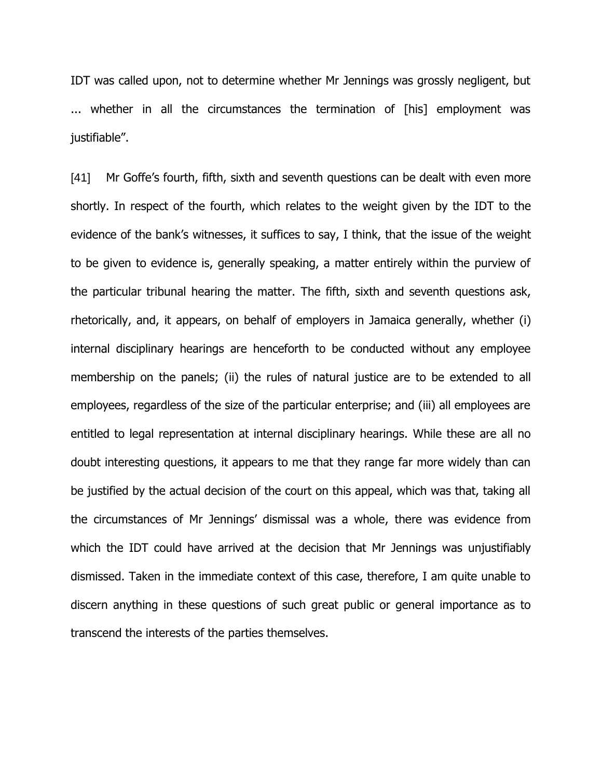IDT was called upon, not to determine whether Mr Jennings was grossly negligent, but ... whether in all the circumstances the termination of [his] employment was justifiable".

[41] Mr Goffe's fourth, fifth, sixth and seventh questions can be dealt with even more shortly. In respect of the fourth, which relates to the weight given by the IDT to the evidence of the bank's witnesses, it suffices to say, I think, that the issue of the weight to be given to evidence is, generally speaking, a matter entirely within the purview of the particular tribunal hearing the matter. The fifth, sixth and seventh questions ask, rhetorically, and, it appears, on behalf of employers in Jamaica generally, whether (i) internal disciplinary hearings are henceforth to be conducted without any employee membership on the panels; (ii) the rules of natural justice are to be extended to all employees, regardless of the size of the particular enterprise; and (iii) all employees are entitled to legal representation at internal disciplinary hearings. While these are all no doubt interesting questions, it appears to me that they range far more widely than can be justified by the actual decision of the court on this appeal, which was that, taking all the circumstances of Mr Jennings" dismissal was a whole, there was evidence from which the IDT could have arrived at the decision that Mr Jennings was unjustifiably dismissed. Taken in the immediate context of this case, therefore, I am quite unable to discern anything in these questions of such great public or general importance as to transcend the interests of the parties themselves.